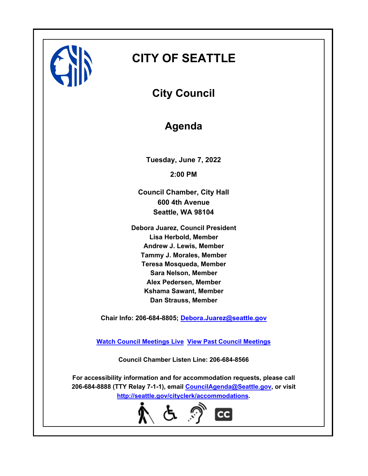

# **CITY OF SEATTLE**

**City Council**

**Agenda**

**Tuesday, June 7, 2022 2:00 PM**

**Council Chamber, City Hall 600 4th Avenue Seattle, WA 98104**

**Debora Juarez, Council President Lisa Herbold, Member Andrew J. Lewis, Member Tammy J. Morales, Member Teresa Mosqueda, Member Sara Nelson, Member Alex Pedersen, Member Kshama Sawant, Member Dan Strauss, Member**

**Chair Info: 206-684-8805; [Debora.Juarez@seattle.gov](mailto:Debora.Juarez@seattle.gov)**

**[Watch Council Meetings Live](http://www.seattle.gov/council/councillive.htm) [View Past Council Meetings](http://www.seattlechannel.org/videos/browseVideos.asp?topic=council)**

**Council Chamber Listen Line: 206-684-8566**

**For accessibility information and for accommodation requests, please call 206-684-8888 (TTY Relay 7-1-1), email [CouncilAgenda@Seattle.gov](mailto: CouncilAgenda@Seattle.gov), or visit <http://seattle.gov/cityclerk/accommodations>.**

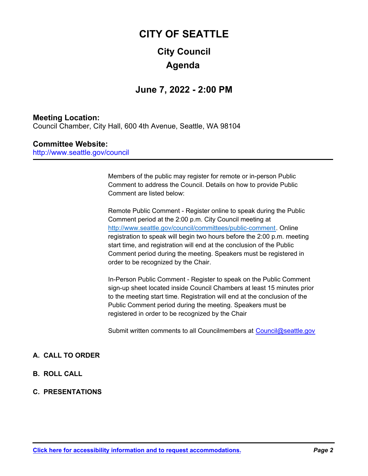## **City Council CITY OF SEATTLE Agenda**

## **June 7, 2022 - 2:00 PM**

## **Meeting Location:**

Council Chamber, City Hall, 600 4th Avenue, Seattle, WA 98104

## **Committee Website:**

http://www.seattle.gov/council

Members of the public may register for remote or in-person Public Comment to address the Council. Details on how to provide Public Comment are listed below:

Remote Public Comment - Register online to speak during the Public Comment period at the 2:00 p.m. City Council meeting at http://www.seattle.gov/council/committees/public-comment. Online registration to speak will begin two hours before the 2:00 p.m. meeting start time, and registration will end at the conclusion of the Public Comment period during the meeting. Speakers must be registered in order to be recognized by the Chair.

In-Person Public Comment - Register to speak on the Public Comment sign-up sheet located inside Council Chambers at least 15 minutes prior to the meeting start time. Registration will end at the conclusion of the Public Comment period during the meeting. Speakers must be registered in order to be recognized by the Chair

Submit written comments to all Councilmembers at Council@seattle.gov

## **A. CALL TO ORDER**

- **B. ROLL CALL**
- **C. PRESENTATIONS**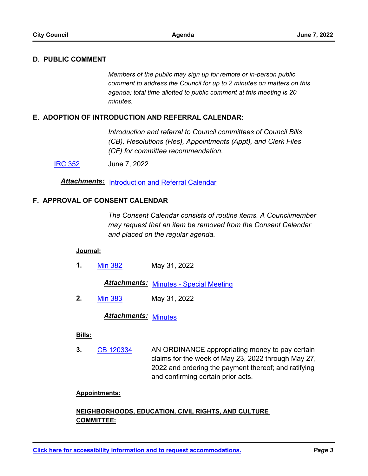## **D. PUBLIC COMMENT**

*Members of the public may sign up for remote or in-person public comment to address the Council for up to 2 minutes on matters on this agenda; total time allotted to public comment at this meeting is 20 minutes.*

## **E. ADOPTION OF INTRODUCTION AND REFERRAL CALENDAR:**

*Introduction and referral to Council committees of Council Bills (CB), Resolutions (Res), Appointments (Appt), and Clerk Files (CF) for committee recommendation.*

[IRC 352](http://seattle.legistar.com/gateway.aspx?m=l&id=/matter.aspx?key=13050) June 7, 2022

*Attachments:* [Introduction and Referral Calendar](http://seattle.legistar.com/gateway.aspx?M=F&ID=36ccd475-762d-4398-9e0a-29bad3c93ce3.pdf)

### **F. APPROVAL OF CONSENT CALENDAR**

*The Consent Calendar consists of routine items. A Councilmember may request that an item be removed from the Consent Calendar and placed on the regular agenda.*

#### **Journal:**

**1.** [Min 382](http://seattle.legistar.com/gateway.aspx?m=l&id=/matter.aspx?key=13048) May 31, 2022

**Attachments: [Minutes - Special Meeting](http://seattle.legistar.com/gateway.aspx?M=F&ID=1fb20200-d3c7-4039-ab1f-6d8244a111d5.pdf)** 

**2.** [Min 383](http://seattle.legistar.com/gateway.aspx?m=l&id=/matter.aspx?key=13049) May 31, 2022

*Attachments:* [Minutes](http://seattle.legistar.com/gateway.aspx?M=F&ID=47ad3fbf-bb83-4217-aaa3-a5fa3e6f3f10.pdf)

### **Bills:**

AN ORDINANCE appropriating money to pay certain claims for the week of May 23, 2022 through May 27, 2022 and ordering the payment thereof; and ratifying and confirming certain prior acts. **3.** [CB 120334](http://seattle.legistar.com/gateway.aspx?m=l&id=/matter.aspx?key=13022)

#### **Appointments:**

## **NEIGHBORHOODS, EDUCATION, CIVIL RIGHTS, AND CULTURE COMMITTEE:**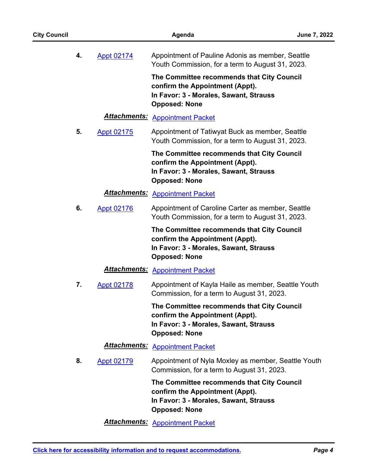| <b>City Council</b> |    |                      | Agenda                                                                                                                                          | June 7, 2022 |
|---------------------|----|----------------------|-------------------------------------------------------------------------------------------------------------------------------------------------|--------------|
|                     | 4. | <b>Appt 02174</b>    | Appointment of Pauline Adonis as member, Seattle<br>Youth Commission, for a term to August 31, 2023.                                            |              |
|                     |    |                      | The Committee recommends that City Council<br>confirm the Appointment (Appt).<br>In Favor: 3 - Morales, Sawant, Strauss<br><b>Opposed: None</b> |              |
|                     |    | <b>Attachments:</b>  | <b>Appointment Packet</b>                                                                                                                       |              |
|                     | 5. | <b>Appt 02175</b>    | Appointment of Tatiwyat Buck as member, Seattle<br>Youth Commission, for a term to August 31, 2023.                                             |              |
|                     |    |                      | The Committee recommends that City Council<br>confirm the Appointment (Appt).<br>In Favor: 3 - Morales, Sawant, Strauss<br><b>Opposed: None</b> |              |
|                     |    | <b>Attachments:</b>  | <b>Appointment Packet</b>                                                                                                                       |              |
|                     | 6. | <b>Appt 02176</b>    | Appointment of Caroline Carter as member, Seattle<br>Youth Commission, for a term to August 31, 2023.                                           |              |
|                     |    |                      | The Committee recommends that City Council<br>confirm the Appointment (Appt).<br>In Favor: 3 - Morales, Sawant, Strauss<br><b>Opposed: None</b> |              |
|                     |    | <u> Attachments:</u> | <b>Appointment Packet</b>                                                                                                                       |              |
|                     | 7. | <b>Appt 02178</b>    | Appointment of Kayla Haile as member, Seattle Youth<br>Commission, for a term to August 31, 2023.                                               |              |
|                     |    |                      | The Committee recommends that City Council<br>confirm the Appointment (Appt).<br>In Favor: 3 - Morales, Sawant, Strauss<br><b>Opposed: None</b> |              |
|                     |    | <b>Attachments:</b>  | <b>Appointment Packet</b>                                                                                                                       |              |
|                     | 8. | <b>Appt 02179</b>    | Appointment of Nyla Moxley as member, Seattle Youth<br>Commission, for a term to August 31, 2023.                                               |              |
|                     |    |                      | The Committee recommends that City Council<br>confirm the Appointment (Appt).<br>In Favor: 3 - Morales, Sawant, Strauss<br><b>Opposed: None</b> |              |
|                     |    |                      | <b>Attachments: Appointment Packet</b>                                                                                                          |              |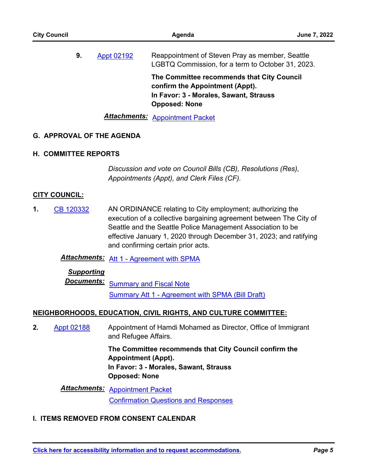| <b>City Council</b> |    | <b>June 7, 2022</b> |                                                                                                                                                 |  |
|---------------------|----|---------------------|-------------------------------------------------------------------------------------------------------------------------------------------------|--|
|                     | 9. | Appt 02192          | Reappointment of Steven Pray as member, Seattle<br>LGBTQ Commission, for a term to October 31, 2023.                                            |  |
|                     |    |                     | The Committee recommends that City Council<br>confirm the Appointment (Appt).<br>In Favor: 3 - Morales, Sawant, Strauss<br><b>Opposed: None</b> |  |
|                     |    |                     | <b>Attachments: Appointment Packet</b>                                                                                                          |  |

## **G. APPROVAL OF THE AGENDA**

### **H. COMMITTEE REPORTS**

*Discussion and vote on Council Bills (CB), Resolutions (Res), Appointments (Appt), and Clerk Files (CF).*

## **CITY COUNCIL:**

AN ORDINANCE relating to City employment; authorizing the execution of a collective bargaining agreement between The City of Seattle and the Seattle Police Management Association to be effective January 1, 2020 through December 31, 2023; and ratifying and confirming certain prior acts. **1.** [CB 120332](http://seattle.legistar.com/gateway.aspx?m=l&id=/matter.aspx?key=12893)

*Attachments:* [Att 1 - Agreement with SPMA](http://seattle.legistar.com/gateway.aspx?M=F&ID=854c84f6-a187-40ae-9bb3-306a5c7ab41f.docx)

## *Supporting*

**Documents:** [Summary and Fiscal Note](http://seattle.legistar.com/gateway.aspx?M=F&ID=b11d76a1-e2ec-4214-97ba-9ea1cc9e5a4c.docx) [Summary Att 1 - Agreement with SPMA \(Bill Draft\)](http://seattle.legistar.com/gateway.aspx?M=F&ID=63f07dd8-b665-48f1-8ce4-2bd193e9235f.docx)

### **NEIGHBORHOODS, EDUCATION, CIVIL RIGHTS, AND CULTURE COMMITTEE:**

Appointment of Hamdi Mohamed as Director, Office of Immigrant and Refugee Affairs. **2.** [Appt 02188](http://seattle.legistar.com/gateway.aspx?m=l&id=/matter.aspx?key=12906)

> **The Committee recommends that City Council confirm the Appointment (Appt). In Favor: 3 - Morales, Sawant, Strauss Opposed: None**

*Attachments:* [Appointment Packet](http://seattle.legistar.com/gateway.aspx?M=F&ID=48c3cae7-c1a7-4130-9b1f-13e4a0daaf01.pdf) [Confirmation Questions and Responses](http://seattle.legistar.com/gateway.aspx?M=F&ID=97f7b14f-bca3-4d10-88ce-61bc7679e386.pdf)

## **I. ITEMS REMOVED FROM CONSENT CALENDAR**